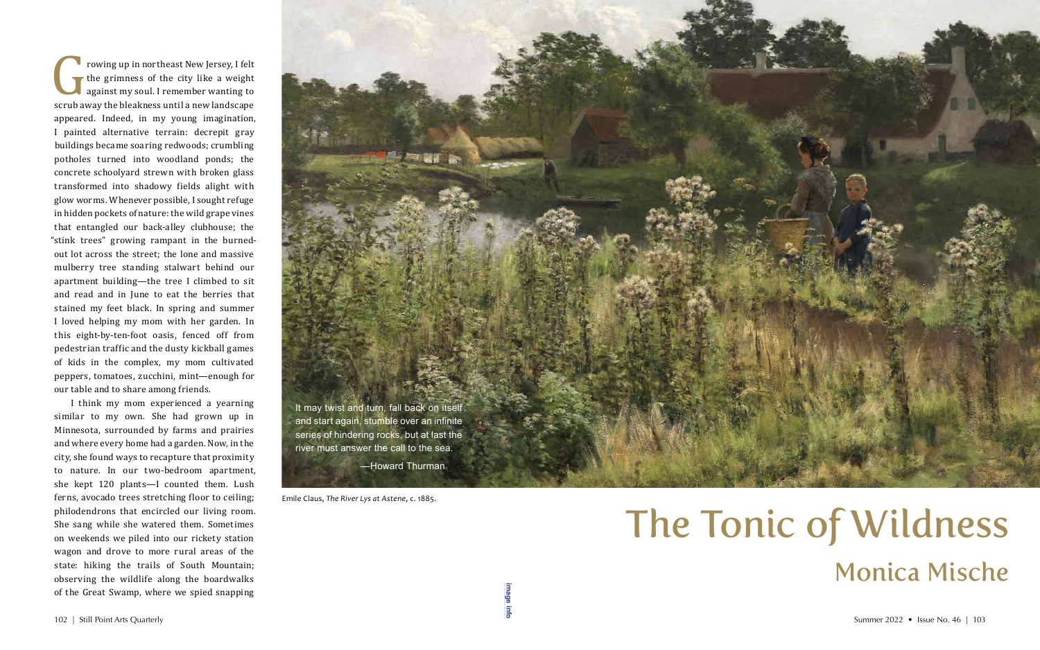Frowing up in northeast New Jersey, I felt<br>the grimness of the city like a weight<br>against my soul. I remember wanting to<br>scrub away the bleakness until a new landscape the grimness of the city like a weight against my soul. I remember wanting to scrub away the bleakness until a new landscape appeared. Indeed, in my young imagination, I painted alternative terrain: decrepit gray buildings became soaring redwoods; crumbling potholes turned into woodland ponds; the concrete schoolyard strewn with broken glass transformed into shadowy fields alight with glow worms. Whenever possible, I sought refuge in hidden pockets of nature: the wild grape vines that entangled our back-alley clubhouse; the "stink trees" growing rampant in the burnedout lot across the street; the lone and massive mulberry tree standing stalwart behind our apartment building—the tree I climbed to sit and read and in June to eat the berries that stained my feet black. In spring and summer I loved helping my mom with her garden. In this eight-by-ten-foot oasis, fenced off from pedestrian traffic and the dusty kickball games of kids in the complex, my mom cultivated peppers, tomatoes, zucchini, mint—enough for our table and to share among friends.

I think my mom experienced a yearning similar to my own. She had grown up in Minnesota, surrounded by farms and prairies and where every home had a garden. Now, in the city, she found ways to recapture that proximity to nature. In our two-bedroom apartment, she kept 120 plants—I counted them. Lush ferns, avocado trees stretching floor to ceiling; philodendrons that encircled our living room. She sang while she watered them. Sometimes on weekends we piled into our rickety station wagon and drove to more rural areas of the state: hiking the trails of South Mountain; observing the wildlife along the boardwalks of the Great Swamp, where we spied snapping 102 | Still Point Arts Quarterly Summer 2022 • Issue No. 46 | 103



## The Tonic of Wildness Monica Mische

**[image info](http://www.shantiarts.co/SPAQ/SPAQ46/files/SPAQ46_SUM22_DIGITAL_IMAGECREDITS.pdf)**

Emile Claus, *The River Lys at Astene*, c. 1885.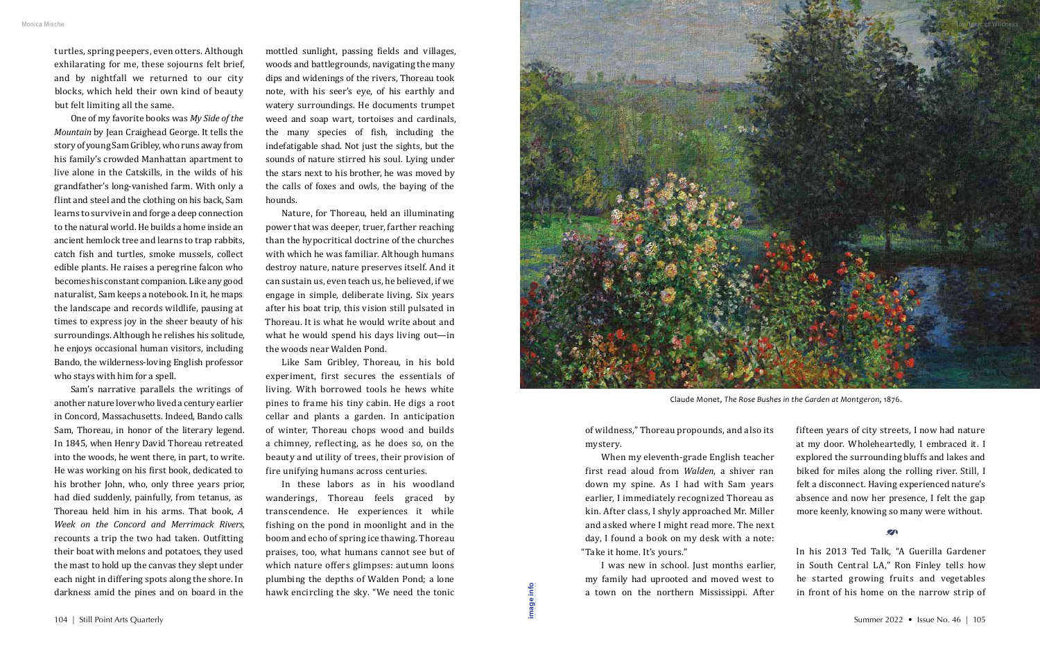turtles, spring peepers, even otters. Although exhilarating for me, these sojourns felt brief, and by nightfall we returned to our city blocks, which held their own kind of beauty but felt limiting all the same.

One of my favorite books was *My Side of the Mountain* by Jean Craighead George. It tells the story of young Sam Gribley, who runs away from his family's crowded Manhattan apartment to live alone in the Catskills, in the wilds of his grandfather's long-vanished farm. With only a flint and steel and the clothing on his back, Sam learns to survive in and forge a deep connection to the natural world. He builds a home inside an ancient hemlock tree and learns to trap rabbits, catch fish and turtles, smoke mussels, collect edible plants. He raises a peregrine falcon who becomes his constant companion. Like any good naturalist, Sam keeps a notebook. In it, he maps the landscape and records wildlife, pausing at times to express joy in the sheer beauty of his surroundings. Although he relishes his solitude, he enjoys occasional human visitors, including Bando, the wilderness-loving English professor who stays with him for a spell.

Sam's narrative parallels the writings of another nature lover who lived a century earlier in Concord, Massachusetts. Indeed, Bando calls Sam, Thoreau, in honor of the literary legend. In 1845, when Henry David Thoreau retreated into the woods, he went there, in part, to write. He was working on his first book, dedicated to his brother John, who, only three years prior, had died suddenly, painfully, from tetanus, as Thoreau held him in his arms. That book, *A Week on the Concord and Merrimack Rivers*, recounts a trip the two had taken. Outfitting their boat with melons and potatoes, they used the mast to hold up the canvas they slept under each night in differing spots along the shore. In darkness amid the pines and on board in the

I was new in school. Just months earlier, my family had uprooted and moved west to a town on the northern Mississippi. After 104 | Still Point Arts Quarterly Summer 2022 • Issue No. 46 | 105

mottled sunlight, passing fields and villages, woods and battlegrounds, navigating the many dips and widenings of the rivers, Thoreau took note, with his seer's eye, of his earthly and watery surroundings. He documents trumpet weed and soap wart, tortoises and cardinals, the many species of fish, including the indefatigable shad. Not just the sights, but the sounds of nature stirred his soul. Lying under the stars next to his brother, he was moved by the calls of foxes and owls, the baying of the hounds.

Nature, for Thoreau, held an illuminating power that was deeper, truer, farther reaching than the hypocritical doctrine of the churches with which he was familiar. Although humans destroy nature, nature preserves itself. And it can sustain us, even teach us, he believed, if we engage in simple, deliberate living. Six years after his boat trip, this vision still pulsated in Thoreau. It is what he would write about and what he would spend his days living out—in the woods near Walden Pond.

Like Sam Gribley, Thoreau, in his bold experiment, first secures the essentials of living. With borrowed tools he hews white pines to frame his tiny cabin. He digs a root cellar and plants a garden. In anticipation of winter, Thoreau chops wood and builds a chimney, reflecting, as he does so, on the beauty and utility of trees, their provision of fire unifying humans across centuries.

In these labors as in his woodland wanderings, Thoreau feels graced by transcendence. He experiences it while fishing on the pond in moonlight and in the boom and echo of spring ice thawing. Thoreau praises, too, what humans cannot see but of which nature offers glimpses: autumn loons plumbing the depths of Walden Pond; a lone hawk encircling the sky. "We need the tonic

of wildness," Thoreau propounds, and also its mystery.

When my eleventh-grade English teacher first read aloud from *Walden*, a shiver ran down my spine. As I had with Sam years earlier, I immediately recognized Thoreau as kin. After class, I shyly approached Mr. Miller and asked where I might read more. The next day, I found a book on my desk with a note: "Take it home. It's yours."

fifteen years of city streets, I now had nature at my door. Wholeheartedly, I embraced it. I explored the surrounding bluffs and lakes and biked for miles along the rolling river. Still, I felt a disconnect. Having experienced nature's absence and now her presence, I felt the gap more keenly, knowing so many were without.

In his 2013 Ted Talk, "A Guerilla Gardener in South Central LA," Ron Finley tells how he started growing fruits and vegetables in front of his home on the narrow strip of

 $\mathbf{z}$ 

**[image info](http://www.shantiarts.co/SPAQ/SPAQ46/files/SPAQ46_SUM22_DIGITAL_IMAGECREDITS.pdf)**



Claude Monet, *The Rose Bushes in the Garden at Montgeron*, 1876.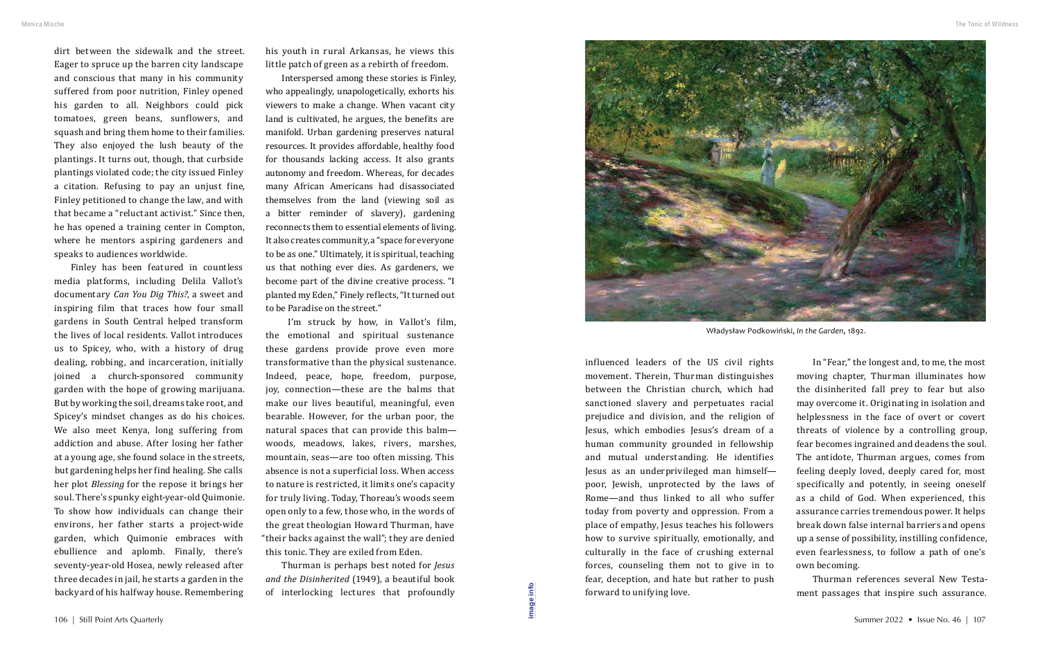dirt between the sidewalk and the street. Eager to spruce up the barren city landscape and conscious that many in his community suffered from poor nutrition, Finley opened his garden to all. Neighbors could pick tomatoes, green beans, sunflowers, and squash and bring them home to their families. They also enjoyed the lush beauty of the plantings. It turns out, though, that curbside plantings violated code; the city issued Finley a citation. Refusing to pay an unjust fine, Finley petitioned to change the law, and with that became a "reluctant activist." Since then, he has opened a training center in Compton, where he mentors aspiring gardeners and speaks to audiences worldwide.

Finley has been featured in countless media platforms, including Delila Vallot's documentary *Can You Dig This?*, a sweet and inspiring film that traces how four small gardens in South Central helped transform the lives of local residents. Vallot introduces us to Spicey, who, with a history of drug dealing, robbing, and incarceration, initially joined a church-sponsored community garden with the hope of growing marijuana. But by working the soil, dreams take root, and Spicey's mindset changes as do his choices. We also meet Kenya, long suffering from addiction and abuse. After losing her father at a young age, she found solace in the streets, but gardening helps her find healing. She calls her plot *Blessing* for the repose it brings her soul. There's spunky eight-year-old Quimonie. To show how individuals can change their environs, her father starts a project-wide garden, which Quimonie embraces with ebullience and aplomb. Finally, there's seventy-year-old Hosea, newly released after three decades in jail, he starts a garden in the backyard of his halfway house. Remembering

Thurman is perhaps best noted for *Jesus and the Disinherited* (1949), a beautiful book of interlocking lectures that profoundly 106 | Still Point Arts Quarterly Summer 2022 • Issue No. 46 | 107<br>106 | Still Point Arts Quarterly Summer 2022 • Issue No. 46 | 107

his youth in rural Arkansas, he views this little patch of green as a rebirth of freedom.

Interspersed among these stories is Finley, who appealingly, unapologetically, exhorts his viewers to make a change. When vacant city land is cultivated, he argues, the benefits are manifold. Urban gardening preserves natural resources. It provides affordable, healthy food for thousands lacking access. It also grants autonomy and freedom. Whereas, for decades many African Americans had disassociated themselves from the land (viewing soil as a bitter reminder of slavery), gardening reconnects them to essential elements of living. It also creates community, a "space for everyone to be as one." Ultimately, it is spiritual, teaching us that nothing ever dies. As gardeners, we become part of the divine creative process. "I planted my Eden," Finely reflects, "It turned out to be Paradise on the street."

 I'm struck by how, in Vallot's film, the emotional and spiritual sustenance these gardens provide prove even more transformative than the physical sustenance. Indeed, peace, hope, freedom, purpose, joy, connection—these are the balms that make our lives beautiful, meaningful, even bearable. However, for the urban poor, the natural spaces that can provide this balm woods, meadows, lakes, rivers, marshes, mountain, seas—are too often missing. This absence is not a superficial loss. When access to nature is restricted, it limits one's capacity for truly living. Today, Thoreau's woods seem open only to a few, those who, in the words of the great theologian Howard Thurman, have "their backs against the wall"; they are denied this tonic. They are exiled from Eden.

influenced leaders of the US civil rights movement. Therein, Thurman distinguishes between the Christian church, which had sanctioned slavery and perpetuates racial prejudice and division, and the religion of Jesus, which embodies Jesus's dream of a human community grounded in fellowship and mutual understanding. He identifies Jesus as an underprivileged man himself poor, Jewish, unprotected by the laws of Rome—and thus linked to all who suffer today from poverty and oppression. From a place of empathy, Jesus teaches his followers how to survive spiritually, emotionally, and culturally in the face of crushing external forces, counseling them not to give in to fear, deception, and hate but rather to push forward to unifying love.

In "Fear," the longest and, to me, the most moving chapter, Thurman illuminates how the disinherited fall prey to fear but also may overcome it. Originating in isolation and helplessness in the face of overt or covert threats of violence by a controlling group, fear becomes ingrained and deadens the soul. The antidote, Thurman argues, comes from feeling deeply loved, deeply cared for, most specifically and potently, in seeing oneself as a child of God. When experienced, this assurance carries tremendous power. It helps break down false internal barriers and opens up a sense of possibility, instilling confidence, even fearlessness, to follow a path of one's own becoming.

Thurman references several New Testament passages that inspire such assurance.

Władysław Podkowiński, *In the Garden*, 1892.